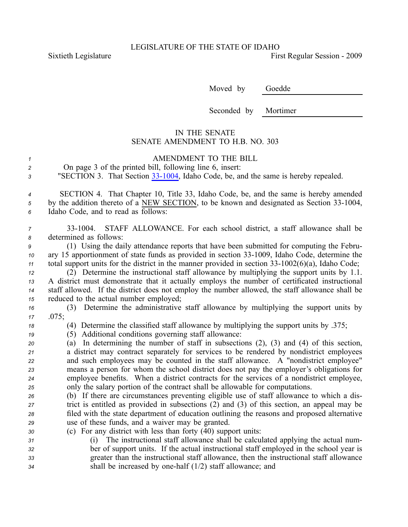Sixtieth Legislature **First** Regular Session - 2009

Moved by Goedde

Seconded by Mortimer

## IN THE SENATE SENATE AMENDMENT TO H.B. NO. 303

|               | AMENDMENT TO THE BILL                                                              |
|---------------|------------------------------------------------------------------------------------|
| 2             | On page 3 of the printed bill, following line 6, insert:                           |
| $\mathcal{R}$ | "SECTION 3. That Section 33-1004, Idaho Code, be, and the same is hereby repealed. |

*<sup>4</sup>* SECTION 4. That Chapter 10, Title 33, Idaho Code, be, and the same is hereby amended *<sup>5</sup>* by the addition thereto of <sup>a</sup> NEW SECTION, to be known and designated as Section 331004, *<sup>6</sup>* Idaho Code, and to read as follows:

*<sup>7</sup>* 331004. STAFF ALLOWANCE. For each school district, <sup>a</sup> staff allowance shall be *<sup>8</sup>* determined as follows:

*<sup>9</sup>* (1) Using the daily attendance reports that have been submitted for computing the Febru-*10* ary 15 apportionment of state funds as provided in section 33-1009, Idaho Code, determine the *11* total support units for the district in the manner provided in section  $33-1002(6)(a)$ , Idaho Code;

 (2) Determine the instructional staff allowance by multiplying the suppor<sup>t</sup> units by 1.1. A district must demonstrate that it actually employs the number of certificated instructional staff allowed. If the district does not employ the number allowed, the staff allowance shall be reduced to the actual number employed;

*<sup>16</sup>* (3) Determine the administrative staff allowance by multiplying the suppor<sup>t</sup> units by *<sup>17</sup>* .075;

*<sup>18</sup>* (4) Determine the classified staff allowance by multiplying the suppor<sup>t</sup> units by .375;

*<sup>19</sup>* (5) Additional conditions governing staff allowance:

 (a) In determining the number of staff in subsections (2), (3) and (4) of this section, <sup>a</sup> district may contract separately for services to be rendered by nondistrict employees and such employees may be counted in the staff allowance. A "nondistrict employee" means <sup>a</sup> person for whom the school district does not pay the employer's obligations for employee benefits. When <sup>a</sup> district contracts for the services of <sup>a</sup> nondistrict employee, only the salary portion of the contract shall be allowable for computations.

 (b) If there are circumstances preventing eligible use of staff allowance to which <sup>a</sup> dis- trict is entitled as provided in subsections (2) and (3) of this section, an appeal may be filed with the state department of education outlining the reasons and proposed alternative use of these funds, and <sup>a</sup> waiver may be granted.

- *<sup>30</sup>* (c) For any district with less than forty (40) suppor<sup>t</sup> units:
- *<sup>31</sup>* (i) The instructional staff allowance shall be calculated applying the actual num-*<sup>32</sup>* ber of suppor<sup>t</sup> units. If the actual instructional staff employed in the school year is *<sup>33</sup>* greater than the instructional staff allowance, then the instructional staff allowance *<sup>34</sup>* shall be increased by onehalf (1/2) staff allowance; and